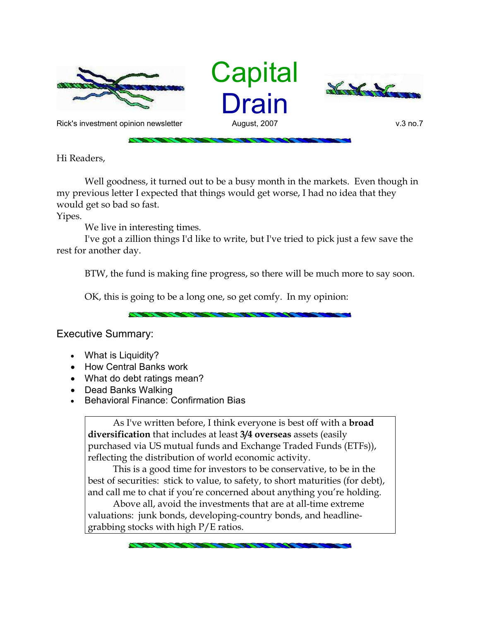





Rick's investment opinion newsletter and August, 2007 and August, 2007 v.3 no.7

Hi Readers,

Well goodness, it turned out to be a busy month in the markets. Even though in my previous letter I expected that things would get worse, I had no idea that they would get so bad so fast.

Yipes.

We live in interesting times.

I've got a zillion things I'd like to write, but I've tried to pick just a few save the rest for another day.

BTW, the fund is making fine progress, so there will be much more to say soon.

OK, this is going to be a long one, so get comfy. In my opinion:

Executive Summary:

- What is Liquidity?
- How Central Banks work
- What do debt ratings mean?
- Dead Banks Walking
- **•** Behavioral Finance: Confirmation Bias

As I've written before, I think everyone is best off with a **broad diversification** that includes at least **3/4 overseas** assets (easily purchased via US mutual funds and Exchange Traded Funds (ETFs)), reflecting the distribution of world economic activity.

This is a good time for investors to be conservative, to be in the best of securities: stick to value, to safety, to short maturities (for debt), and call me to chat if you're concerned about anything you're holding.

Above all, avoid the investments that are at all-time extreme valuations: junk bonds, developing-country bonds, and headlinegrabbing stocks with high P/E ratios.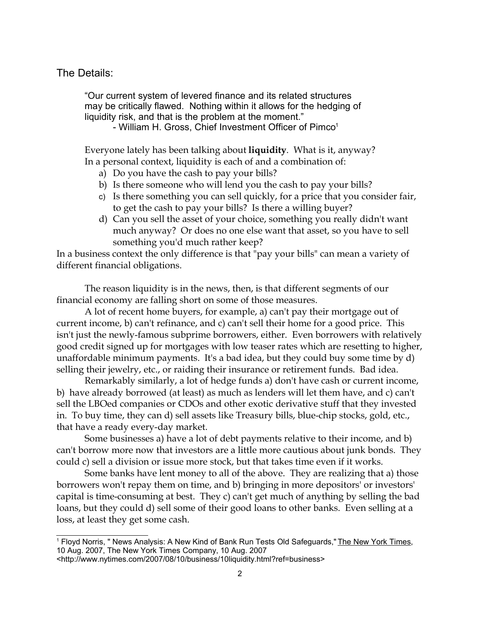# The Details:

"Our current system of levered finance and its related structures may be critically flawed. Nothing within it allows for the hedging of liquidity risk, and that is the problem at the moment."

- William H. Gross, Chief Investment Officer of Pimco<sup>1</sup>

Everyone lately has been talking about **liquidity**. What is it, anyway? In a personal context, liquidity is each of and a combination of:

- a) Do you have the cash to pay your bills?
- b) Is there someone who will lend you the cash to pay your bills?
- c) Is there something you can sell quickly, for a price that you consider fair, to get the cash to pay your bills? Is there a willing buyer?
- d) Can you sell the asset of your choice, something you really didn't want much anyway? Or does no one else want that asset, so you have to sell something you'd much rather keep?

In a business context the only difference is that "pay your bills" can mean a variety of different financial obligations.

The reason liquidity is in the news, then, is that different segments of our financial economy are falling short on some of those measures.

A lot of recent home buyers, for example, a) can't pay their mortgage out of current income, b) can't refinance, and c) can't sell their home for a good price. This isn't just the newly-famous subprime borrowers, either. Even borrowers with relatively good credit signed up for mortgages with low teaser rates which are resetting to higher, unaffordable minimum payments. It's a bad idea, but they could buy some time by d) selling their jewelry, etc., or raiding their insurance or retirement funds. Bad idea.

Remarkably similarly, a lot of hedge funds a) don't have cash or current income, b) have already borrowed (at least) as much as lenders will let them have, and c) can't sell the LBOed companies or CDOs and other exotic derivative stuff that they invested in. To buy time, they can d) sell assets like Treasury bills, blue-chip stocks, gold, etc., that have a ready every-day market.

Some businesses a) have a lot of debt payments relative to their income, and b) can't borrow more now that investors are a little more cautious about junk bonds. They could c) sell a division or issue more stock, but that takes time even if it works.

Some banks have lent money to all of the above. They are realizing that a) those borrowers won't repay them on time, and b) bringing in more depositors' or investors' capital is time-consuming at best. They c) can't get much of anything by selling the bad loans, but they could d) sell some of their good loans to other banks. Even selling at a loss, at least they get some cash.

<sup>&</sup>lt;sup>1</sup> Floyd Norris, " News Analysis: A New Kind of Bank Run Tests Old Safeguards," The New York Times, 10 Aug. 2007, The New York Times Company, 10 Aug. 2007

<sup>&</sup>lt;http://www.nytimes.com/2007/08/10/business/10liquidity.html?ref=business>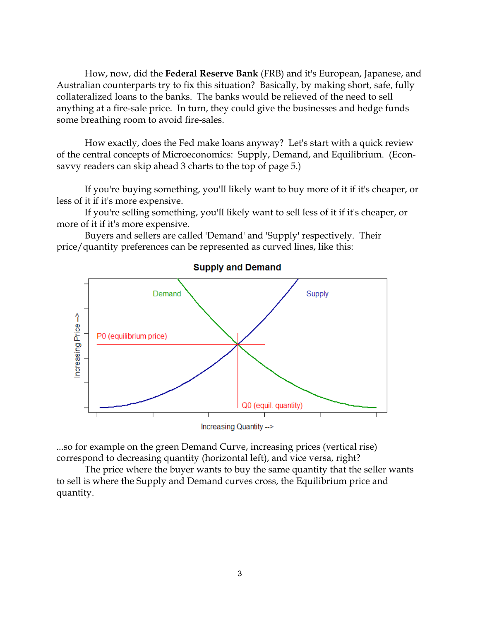How, now, did the **Federal Reserve Bank** (FRB) and it's European, Japanese, and Australian counterparts try to fix this situation? Basically, by making short, safe, fully collateralized loans to the banks. The banks would be relieved of the need to sell anything at a fire-sale price. In turn, they could give the businesses and hedge funds some breathing room to avoid fire-sales.

How exactly, does the Fed make loans anyway? Let's start with a quick review of the central concepts of Microeconomics: Supply, Demand, and Equilibrium. (Econsavvy readers can skip ahead 3 charts to the top of page 5.)

If you're buying something, you'll likely want to buy more of it if it's cheaper, or less of it if it's more expensive.

If you're selling something, you'll likely want to sell less of it if it's cheaper, or more of it if it's more expensive.

Buyers and sellers are called 'Demand' and 'Supply' respectively. Their price/quantity preferences can be represented as curved lines, like this:



**Supply and Demand** 

...so for example on the green Demand Curve, increasing prices (vertical rise) correspond to decreasing quantity (horizontal left), and vice versa, right?

The price where the buyer wants to buy the same quantity that the seller wants to sell is where the Supply and Demand curves cross, the Equilibrium price and quantity.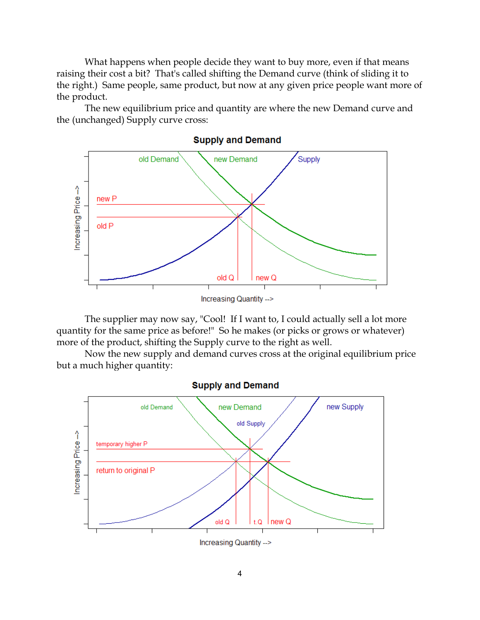What happens when people decide they want to buy more, even if that means raising their cost a bit? That's called shifting the Demand curve (think of sliding it to the right.) Same people, same product, but now at any given price people want more of the product.

The new equilibrium price and quantity are where the new Demand curve and the (unchanged) Supply curve cross:



The supplier may now say, "Cool! If I want to, I could actually sell a lot more quantity for the same price as before!" So he makes (or picks or grows or whatever) more of the product, shifting the Supply curve to the right as well.

Now the new supply and demand curves cross at the original equilibrium price but a much higher quantity:



**Supply and Demand** 

4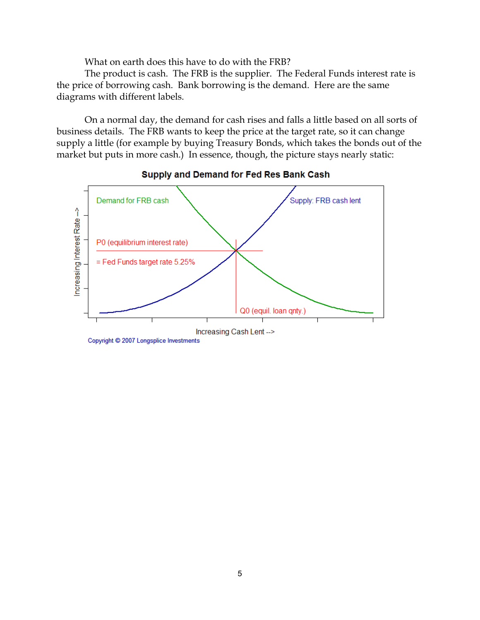What on earth does this have to do with the FRB?

The product is cash. The FRB is the supplier. The Federal Funds interest rate is the price of borrowing cash. Bank borrowing is the demand. Here are the same diagrams with different labels.

On a normal day, the demand for cash rises and falls a little based on all sorts of business details. The FRB wants to keep the price at the target rate, so it can change supply a little (for example by buying Treasury Bonds, which takes the bonds out of the market but puts in more cash.) In essence, though, the picture stays nearly static:



#### Supply and Demand for Fed Res Bank Cash

Copyright © 2007 Longsplice Investments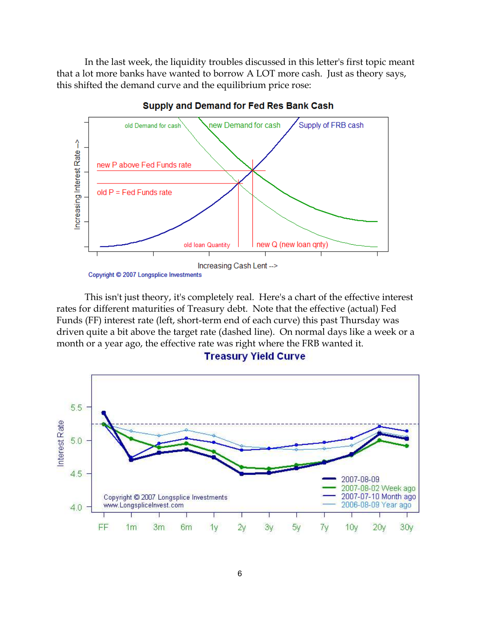In the last week, the liquidity troubles discussed in this letter's first topic meant that a lot more banks have wanted to borrow A LOT more cash. Just as theory says, this shifted the demand curve and the equilibrium price rose:



Supply and Demand for Fed Res Bank Cash

This isn't just theory, it's completely real. Here's a chart of the effective interest rates for different maturities of Treasury debt. Note that the effective (actual) Fed Funds (FF) interest rate (left, short-term end of each curve) this past Thursday was driven quite a bit above the target rate (dashed line). On normal days like a week or a month or a year ago, the effective rate was right where the FRB wanted it.



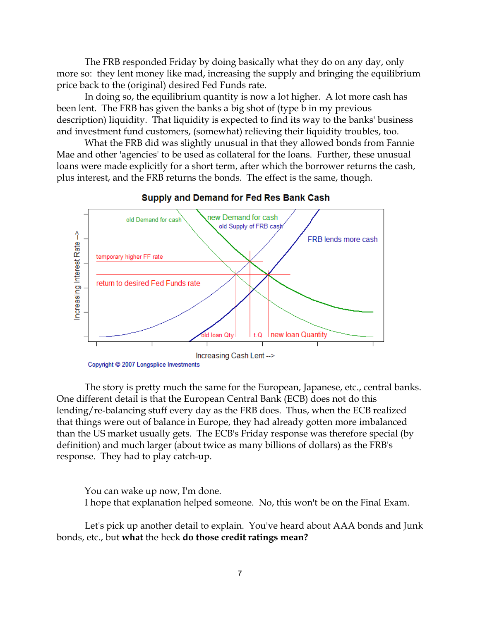The FRB responded Friday by doing basically what they do on any day, only more so: they lent money like mad, increasing the supply and bringing the equilibrium price back to the (original) desired Fed Funds rate.

In doing so, the equilibrium quantity is now a lot higher. A lot more cash has been lent. The FRB has given the banks a big shot of (type b in my previous description) liquidity. That liquidity is expected to find its way to the banks' business and investment fund customers, (somewhat) relieving their liquidity troubles, too.

What the FRB did was slightly unusual in that they allowed bonds from Fannie Mae and other 'agencies' to be used as collateral for the loans. Further, these unusual loans were made explicitly for a short term, after which the borrower returns the cash, plus interest, and the FRB returns the bonds. The effect is the same, though.



#### Supply and Demand for Fed Res Bank Cash

The story is pretty much the same for the European, Japanese, etc., central banks. One different detail is that the European Central Bank (ECB) does not do this lending/re-balancing stuff every day as the FRB does. Thus, when the ECB realized that things were out of balance in Europe, they had already gotten more imbalanced than the US market usually gets. The ECB's Friday response was therefore special (by definition) and much larger (about twice as many billions of dollars) as the FRB's response. They had to play catch-up.

You can wake up now, I'm done. I hope that explanation helped someone. No, this won't be on the Final Exam.

Let's pick up another detail to explain. You've heard about AAA bonds and Junk bonds, etc., but **what** the heck **do those credit ratings mean?**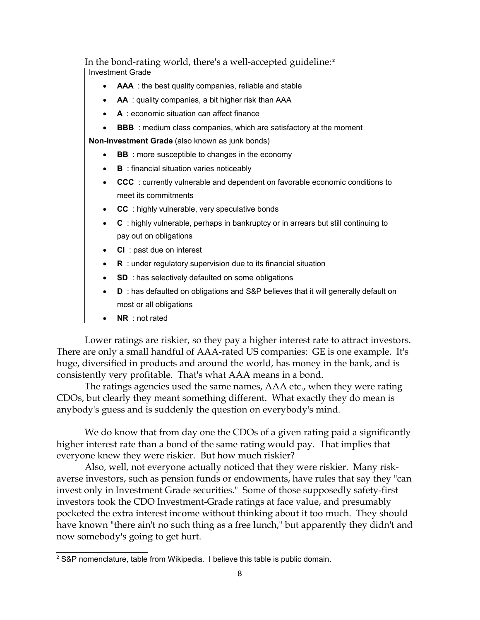## In the bond-rating world, there's a well-accepted guideline: **2**

Investment Grade

- **AAA** : the best quality companies, reliable and stable
- **AA** : quality companies, a bit higher risk than AAA
- **A** : economic situation can affect finance
- **BBB** : medium class companies, which are satisfactory at the moment

**Non-Investment Grade** (also known as junk bonds)

- **BB** : more susceptible to changes in the economy
- **B** : financial situation varies noticeably
- **CCC** : currently vulnerable and dependent on favorable economic conditions to meet its commitments
- **CC** : highly vulnerable, very speculative bonds
- **C** : highly vulnerable, perhaps in bankruptcy or in arrears but still continuing to pay out on obligations
- **CI** : past due on interest
- **R** : under regulatory supervision due to its financial situation
- **SD** : has selectively defaulted on some obligations
- **D** : has defaulted on obligations and S&P believes that it will generally default on most or all obligations
- **NR** : not rated

Lower ratings are riskier, so they pay a higher interest rate to attract investors. There are only a small handful of AAA-rated US companies: GE is one example. It's huge, diversified in products and around the world, has money in the bank, and is consistently very profitable. That's what AAA means in a bond.

The ratings agencies used the same names, AAA etc., when they were rating CDOs, but clearly they meant something different. What exactly they do mean is anybody's guess and is suddenly the question on everybody's mind.

We do know that from day one the CDOs of a given rating paid a significantly higher interest rate than a bond of the same rating would pay. That implies that everyone knew they were riskier. But how much riskier?

Also, well, not everyone actually noticed that they were riskier. Many riskaverse investors, such as pension funds or endowments, have rules that say they "can invest only in Investment Grade securities." Some of those supposedly safety-first investors took the CDO Investment-Grade ratings at face value, and presumably pocketed the extra interest income without thinking about it too much. They should have known "there ain't no such thing as a free lunch," but apparently they didn't and now somebody's going to get hurt.

<sup>&</sup>lt;sup>2</sup> S&P nomenclature, table from Wikipedia. I believe this table is public domain.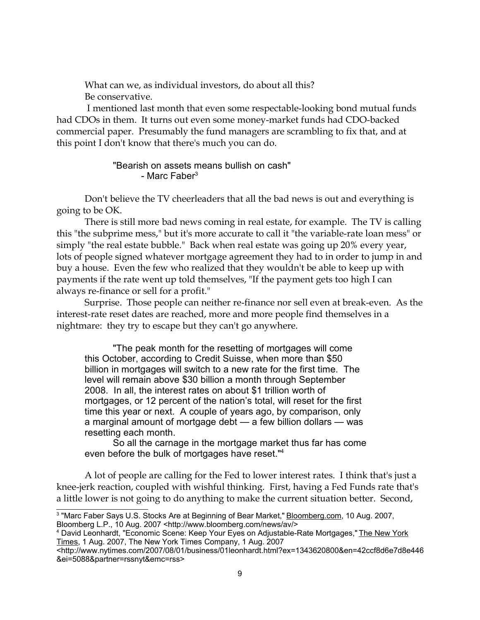What can we, as individual investors, do about all this? Be conservative.

 I mentioned last month that even some respectable-looking bond mutual funds had CDOs in them. It turns out even some money-market funds had CDO-backed commercial paper. Presumably the fund managers are scrambling to fix that, and at this point I don't know that there's much you can do.

## "Bearish on assets means bullish on cash" - Marc Faber $3$

Don't believe the TV cheerleaders that all the bad news is out and everything is going to be OK.

There is still more bad news coming in real estate, for example. The TV is calling this "the subprime mess," but it's more accurate to call it "the variable-rate loan mess" or simply "the real estate bubble." Back when real estate was going up 20% every year, lots of people signed whatever mortgage agreement they had to in order to jump in and buy a house. Even the few who realized that they wouldn't be able to keep up with payments if the rate went up told themselves, "If the payment gets too high I can always re-finance or sell for a profit."

Surprise. Those people can neither re-finance nor sell even at break-even. As the interest-rate reset dates are reached, more and more people find themselves in a nightmare: they try to escape but they can't go anywhere.

"The peak month for the resetting of mortgages will come this October, according to Credit Suisse, when more than \$50 billion in mortgages will switch to a new rate for the first time. The level will remain above \$30 billion a month through September 2008. In all, the interest rates on about \$1 trillion worth of mortgages, or 12 percent of the nation's total, will reset for the first time this year or next. A couple of years ago, by comparison, only a marginal amount of mortgage debt — a few billion dollars — was resetting each month.

So all the carnage in the mortgage market thus far has come even before the bulk of mortgages have reset."<sup>4</sup>

A lot of people are calling for the Fed to lower interest rates. I think that's just a knee-jerk reaction, coupled with wishful thinking. First, having a Fed Funds rate that's a little lower is not going to do anything to make the current situation better. Second,

<sup>&</sup>lt;sup>3</sup> "Marc Faber Says U.S. Stocks Are at Beginning of Bear Market," **Bloomberg.com, 10 Aug. 2007**, Bloomberg L.P., 10 Aug. 2007 <http://www.bloomberg.com/news/av/>

<sup>4</sup> David Leonhardt, "Economic Scene: Keep Your Eyes on Adjustable-Rate Mortgages," The New York Times, 1 Aug. 2007, The New York Times Company, 1 Aug. 2007

<sup>&</sup>lt;http://www.nytimes.com/2007/08/01/business/01leonhardt.html?ex=1343620800&en=42ccf8d6e7d8e446 &ei=5088&partner=rssnyt&emc=rss>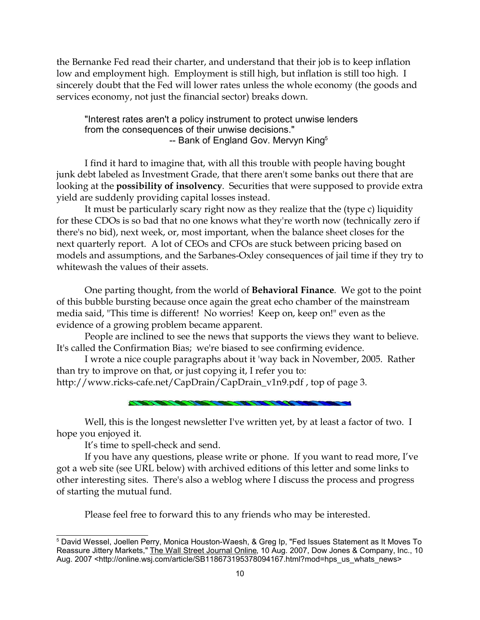the Bernanke Fed read their charter, and understand that their job is to keep inflation low and employment high. Employment is still high, but inflation is still too high. I sincerely doubt that the Fed will lower rates unless the whole economy (the goods and services economy, not just the financial sector) breaks down.

"Interest rates aren't a policy instrument to protect unwise lenders from the consequences of their unwise decisions." -- Bank of England Gov. Mervyn King<sup>5</sup>

I find it hard to imagine that, with all this trouble with people having bought junk debt labeled as Investment Grade, that there aren't some banks out there that are looking at the **possibility of insolvency**. Securities that were supposed to provide extra yield are suddenly providing capital losses instead.

It must be particularly scary right now as they realize that the (type c) liquidity for these CDOs is so bad that no one knows what they're worth now (technically zero if there's no bid), next week, or, most important, when the balance sheet closes for the next quarterly report. A lot of CEOs and CFOs are stuck between pricing based on models and assumptions, and the Sarbanes-Oxley consequences of jail time if they try to whitewash the values of their assets.

One parting thought, from the world of **Behavioral Finance**. We got to the point of this bubble bursting because once again the great echo chamber of the mainstream media said, "This time is different! No worries! Keep on, keep on!" even as the evidence of a growing problem became apparent.

People are inclined to see the news that supports the views they want to believe. It's called the Confirmation Bias; we're biased to see confirming evidence.

I wrote a nice couple paragraphs about it 'way back in November, 2005. Rather than try to improve on that, or just copying it, I refer you to:

http://www.ricks-cafe.net/CapDrain/CapDrain\_v1n9.pdf , top of page 3.

Well, this is the longest newsletter I've written yet, by at least a factor of two. I hope you enjoyed it.

It's time to spell-check and send.

If you have any questions, please write or phone. If you want to read more, I've got a web site (see URL below) with archived editions of this letter and some links to other interesting sites. There's also a weblog where I discuss the process and progress of starting the mutual fund.

Please feel free to forward this to any friends who may be interested.

 $^5$  David Wessel, Joellen Perry, Monica Houston-Waesh, & Greg Ip, "Fed Issues Statement as It Moves To Reassure Jittery Markets," The Wall Street Journal Online, 10 Aug. 2007, Dow Jones & Company, Inc., 10 Aug. 2007 <http://online.wsj.com/article/SB118673195378094167.html?mod=hps\_us\_whats\_news>